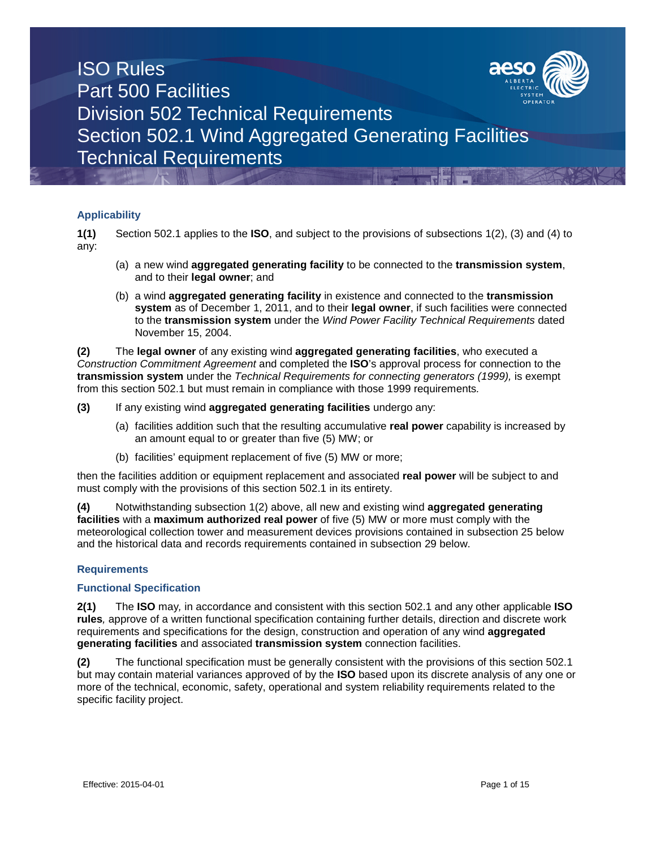

### **Applicability**

**1(1)** Section 502.1 applies to the **ISO**, and subject to the provisions of subsections 1(2), (3) and (4) to any:

- (a) a new wind **aggregated generating facility** to be connected to the **transmission system**, and to their **legal owner**; and
- (b) a wind **aggregated generating facility** in existence and connected to the **transmission system** as of December 1, 2011, and to their **legal owner**, if such facilities were connected to the **transmission system** under the *Wind Power Facility Technical Requirements* dated November 15, 2004.

**(2)** The **legal owner** of any existing wind **aggregated generating facilities**, who executed a *Construction Commitment Agreement* and completed the **ISO**'s approval process for connection to the **transmission system** under the *Technical Requirements for connecting generators (1999),* is exempt from this section 502.1 but must remain in compliance with those 1999 requirements*.*

**(3)** If any existing wind **aggregated generating facilities** undergo any:

- (a) facilities addition such that the resulting accumulative **real power** capability is increased by an amount equal to or greater than five (5) MW; or
- (b) facilities' equipment replacement of five (5) MW or more;

then the facilities addition or equipment replacement and associated **real power** will be subject to and must comply with the provisions of this section 502.1 in its entirety.

**(4)** Notwithstanding subsection 1(2) above, all new and existing wind **aggregated generating facilities** with a **maximum authorized real power** of five (5) MW or more must comply with the meteorological collection tower and measurement devices provisions contained in subsection 25 below and the historical data and records requirements contained in subsection 29 below.

### **Requirements**

#### **Functional Specification**

**2(1)** The **ISO** may*,* in accordance and consistent with this section 502.1 and any other applicable **ISO rules***,* approve of a written functional specification containing further details, direction and discrete work requirements and specifications for the design, construction and operation of any wind **aggregated generating facilities** and associated **transmission system** connection facilities.

**(2)** The functional specification must be generally consistent with the provisions of this section 502.1 but may contain material variances approved of by the **ISO** based upon its discrete analysis of any one or more of the technical, economic, safety, operational and system reliability requirements related to the specific facility project.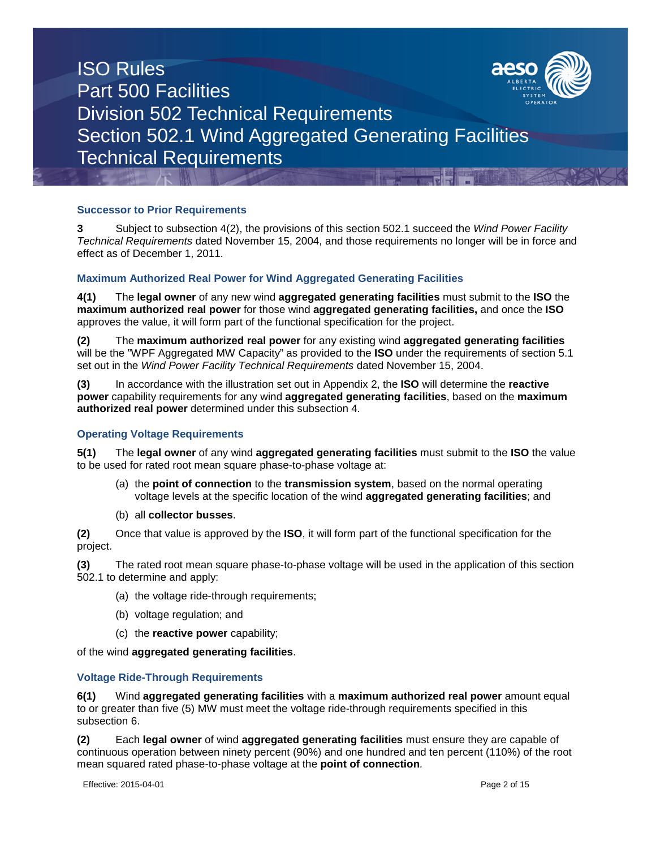

### **Successor to Prior Requirements**

**3** Subject to subsection 4(2), the provisions of this section 502.1 succeed the *Wind Power Facility Technical Requirements* dated November 15, 2004, and those requirements no longer will be in force and effect as of December 1, 2011.

### **Maximum Authorized Real Power for Wind Aggregated Generating Facilities**

**4(1)** The **legal owner** of any new wind **aggregated generating facilities** must submit to the **ISO** the **maximum authorized real power** for those wind **aggregated generating facilities,** and once the **ISO** approves the value, it will form part of the functional specification for the project.

**(2)** The **maximum authorized real power** for any existing wind **aggregated generating facilities** will be the "WPF Aggregated MW Capacity" as provided to the **ISO** under the requirements of section 5.1 set out in the *Wind Power Facility Technical Requirements* dated November 15, 2004.

**(3)** In accordance with the illustration set out in Appendix 2, the **ISO** will determine the **reactive power** capability requirements for any wind **aggregated generating facilities**, based on the **maximum authorized real power** determined under this subsection 4.

#### **Operating Voltage Requirements**

**5(1)** The **legal owner** of any wind **aggregated generating facilities** must submit to the **ISO** the value to be used for rated root mean square phase-to-phase voltage at:

- (a) the **point of connection** to the **transmission system**, based on the normal operating voltage levels at the specific location of the wind **aggregated generating facilities**; and
- (b) all **collector busses**.

**(2)** Once that value is approved by the **ISO**, it will form part of the functional specification for the project.

**(3)** The rated root mean square phase-to-phase voltage will be used in the application of this section 502.1 to determine and apply:

- (a) the voltage ride-through requirements;
- (b) voltage regulation; and
- (c) the **reactive power** capability;

of the wind **aggregated generating facilities**.

#### **Voltage Ride-Through Requirements**

**6(1)** Wind **aggregated generating facilities** with a **maximum authorized real power** amount equal to or greater than five (5) MW must meet the voltage ride-through requirements specified in this subsection 6.

**(2)** Each **legal owner** of wind **aggregated generating facilities** must ensure they are capable of continuous operation between ninety percent (90%) and one hundred and ten percent (110%) of the root mean squared rated phase-to-phase voltage at the **point of connection***.*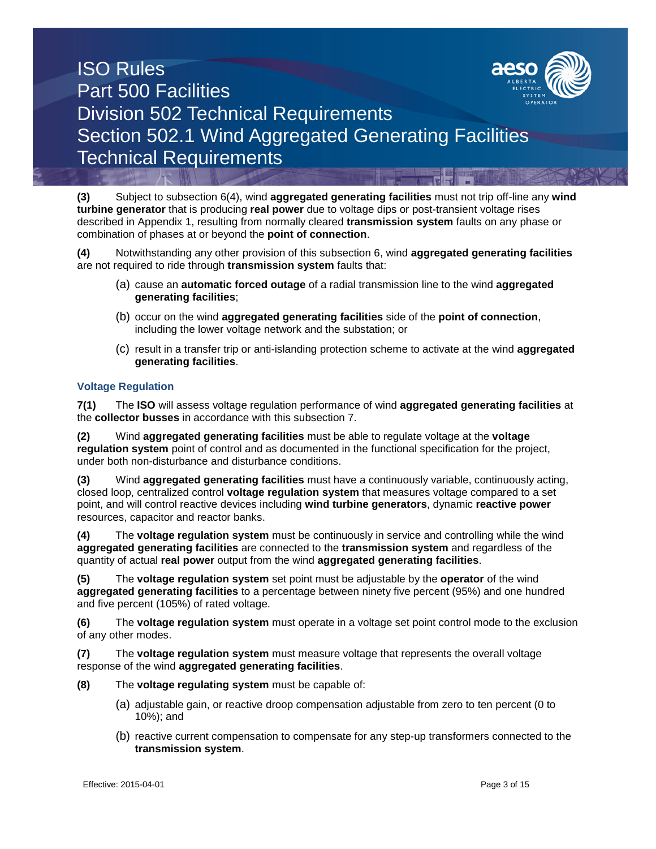

**(3)** Subject to subsection 6(4), wind **aggregated generating facilities** must not trip off-line any **wind turbine generator** that is producing **real power** due to voltage dips or post-transient voltage rises described in Appendix 1, resulting from normally cleared **transmission system** faults on any phase or combination of phases at or beyond the **point of connection**.

**(4)** Notwithstanding any other provision of this subsection 6, wind **aggregated generating facilities** are not required to ride through **transmission system** faults that:

- (a) cause an **automatic forced outage** of a radial transmission line to the wind **aggregated generating facilities**;
- (b) occur on the wind **aggregated generating facilities** side of the **point of connection**, including the lower voltage network and the substation; or
- (c) result in a transfer trip or anti-islanding protection scheme to activate at the wind **aggregated generating facilities**.

#### **Voltage Regulation**

**7(1)** The **ISO** will assess voltage regulation performance of wind **aggregated generating facilities** at the **collector busses** in accordance with this subsection 7.

**(2)** Wind **aggregated generating facilities** must be able to regulate voltage at the **voltage regulation system** point of control and as documented in the functional specification for the project, under both non-disturbance and disturbance conditions.

**(3)** Wind **aggregated generating facilities** must have a continuously variable, continuously acting, closed loop, centralized control **voltage regulation system** that measures voltage compared to a set point, and will control reactive devices including **wind turbine generators**, dynamic **reactive power**  resources, capacitor and reactor banks.

**(4)** The **voltage regulation system** must be continuously in service and controlling while the wind **aggregated generating facilities** are connected to the **transmission system** and regardless of the quantity of actual **real power** output from the wind **aggregated generating facilities**.

**(5)** The **voltage regulation system** set point must be adjustable by the **operator** of the wind **aggregated generating facilities** to a percentage between ninety five percent (95%) and one hundred and five percent (105%) of rated voltage.

**(6)** The **voltage regulation system** must operate in a voltage set point control mode to the exclusion of any other modes.

**(7)** The **voltage regulation system** must measure voltage that represents the overall voltage response of the wind **aggregated generating facilities**.

**(8)** The **voltage regulating system** must be capable of:

- (a) adjustable gain, or reactive droop compensation adjustable from zero to ten percent (0 to 10%); and
- (b) reactive current compensation to compensate for any step-up transformers connected to the **transmission system**.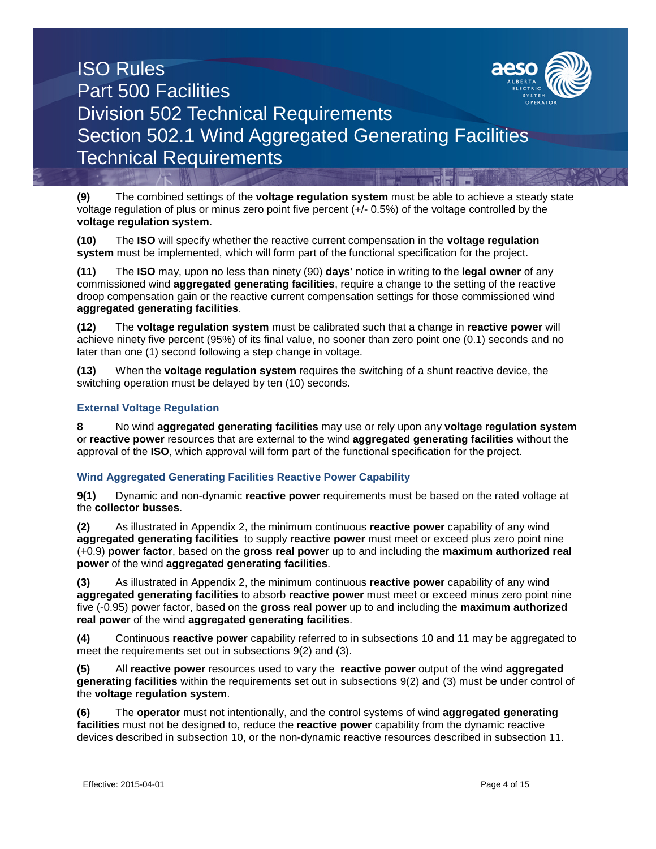

**(9)** The combined settings of the **voltage regulation system** must be able to achieve a steady state voltage regulation of plus or minus zero point five percent (+/- 0.5%) of the voltage controlled by the **voltage regulation system**.

**(10)** The **ISO** will specify whether the reactive current compensation in the **voltage regulation system** must be implemented, which will form part of the functional specification for the project.

**(11)** The **ISO** may, upon no less than ninety (90) **days**' notice in writing to the **legal owner** of any commissioned wind **aggregated generating facilities**, require a change to the setting of the reactive droop compensation gain or the reactive current compensation settings for those commissioned wind **aggregated generating facilities**.

**(12)** The **voltage regulation system** must be calibrated such that a change in **reactive power** will achieve ninety five percent (95%) of its final value, no sooner than zero point one (0.1) seconds and no later than one (1) second following a step change in voltage.

**(13)** When the **voltage regulation system** requires the switching of a shunt reactive device, the switching operation must be delayed by ten (10) seconds.

### **External Voltage Regulation**

**8** No wind **aggregated generating facilities** may use or rely upon any **voltage regulation system** or **reactive power** resources that are external to the wind **aggregated generating facilities** without the approval of the **ISO**, which approval will form part of the functional specification for the project.

#### **Wind Aggregated Generating Facilities Reactive Power Capability**

**9(1)** Dynamic and non-dynamic **reactive power** requirements must be based on the rated voltage at the **collector busses**.

**(2)** As illustrated in Appendix 2, the minimum continuous **reactive power** capability of any wind **aggregated generating facilities** to supply **reactive power** must meet or exceed plus zero point nine (+0.9) **power factor**, based on the **gross real power** up to and including the **maximum authorized real power** of the wind **aggregated generating facilities**.

**(3)** As illustrated in Appendix 2, the minimum continuous **reactive power** capability of any wind **aggregated generating facilities** to absorb **reactive power** must meet or exceed minus zero point nine five (-0.95) power factor, based on the **gross real power** up to and including the **maximum authorized real power** of the wind **aggregated generating facilities**.

**(4)** Continuous **reactive power** capability referred to in subsections 10 and 11 may be aggregated to meet the requirements set out in subsections 9(2) and (3).

**(5)** All **reactive power** resources used to vary the **reactive power** output of the wind **aggregated generating facilities** within the requirements set out in subsections 9(2) and (3) must be under control of the **voltage regulation system**.

**(6)** The **operator** must not intentionally, and the control systems of wind **aggregated generating facilities** must not be designed to, reduce the **reactive power** capability from the dynamic reactive devices described in subsection 10, or the non-dynamic reactive resources described in subsection 11.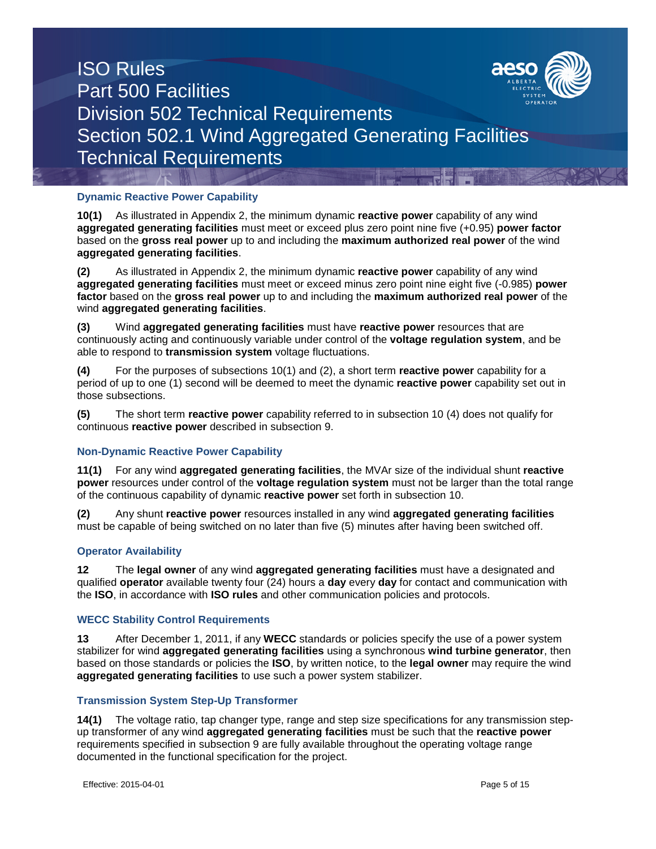

### **Dynamic Reactive Power Capability**

**10(1)** As illustrated in Appendix 2, the minimum dynamic **reactive power** capability of any wind **aggregated generating facilities** must meet or exceed plus zero point nine five (+0.95) **power factor** based on the **gross real power** up to and including the **maximum authorized real power** of the wind **aggregated generating facilities**.

**(2)** As illustrated in Appendix 2, the minimum dynamic **reactive power** capability of any wind **aggregated generating facilities** must meet or exceed minus zero point nine eight five (-0.985) **power factor** based on the **gross real power** up to and including the **maximum authorized real power** of the wind **aggregated generating facilities**.

**(3)** Wind **aggregated generating facilities** must have **reactive power** resources that are continuously acting and continuously variable under control of the **voltage regulation system**, and be able to respond to **transmission system** voltage fluctuations.

**(4)** For the purposes of subsections 10(1) and (2), a short term **reactive power** capability for a period of up to one (1) second will be deemed to meet the dynamic **reactive power** capability set out in those subsections.

**(5)** The short term **reactive power** capability referred to in subsection 10 (4) does not qualify for continuous **reactive power** described in subsection 9.

### **Non-Dynamic Reactive Power Capability**

**11(1)** For any wind **aggregated generating facilities**, the MVAr size of the individual shunt **reactive power** resources under control of the **voltage regulation system** must not be larger than the total range of the continuous capability of dynamic **reactive power** set forth in subsection 10.

**(2)** Any shunt **reactive power** resources installed in any wind **aggregated generating facilities** must be capable of being switched on no later than five (5) minutes after having been switched off.

#### **Operator Availability**

**12** The **legal owner** of any wind **aggregated generating facilities** must have a designated and qualified **operator** available twenty four (24) hours a **day** every **day** for contact and communication with the **ISO**, in accordance with **ISO rules** and other communication policies and protocols.

#### **WECC Stability Control Requirements**

**13** After December 1, 2011, if any **WECC** standards or policies specify the use of a power system stabilizer for wind **aggregated generating facilities** using a synchronous **wind turbine generator**, then based on those standards or policies the **ISO**, by written notice, to the **legal owner** may require the wind **aggregated generating facilities** to use such a power system stabilizer.

#### **Transmission System Step-Up Transformer**

**14(1)** The voltage ratio, tap changer type, range and step size specifications for any transmission stepup transformer of any wind **aggregated generating facilities** must be such that the **reactive power** requirements specified in subsection 9 are fully available throughout the operating voltage range documented in the functional specification for the project.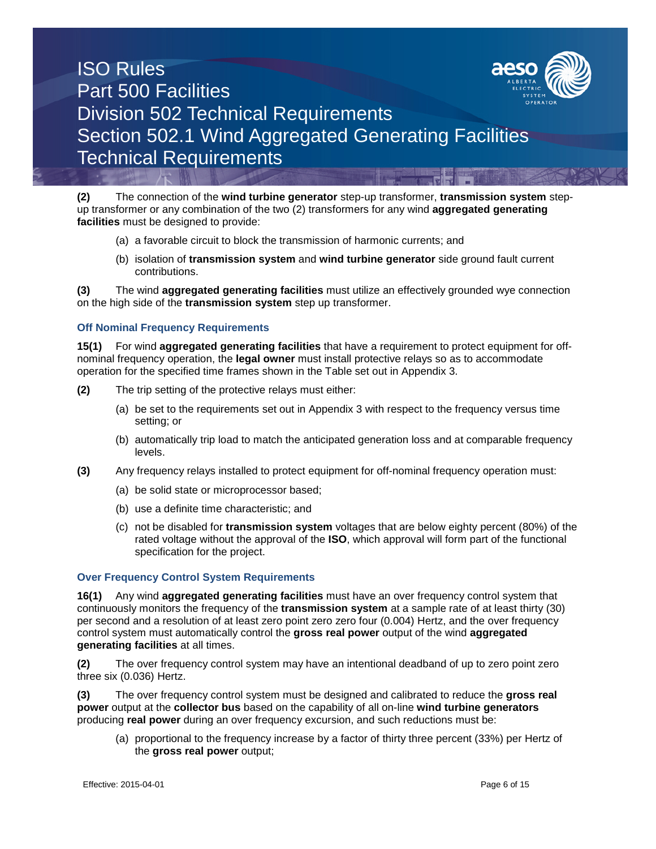

**(2)** The connection of the **wind turbine generator** step-up transformer, **transmission system** stepup transformer or any combination of the two (2) transformers for any wind **aggregated generating facilities** must be designed to provide:

- (a) a favorable circuit to block the transmission of harmonic currents; and
- (b) isolation of **transmission system** and **wind turbine generator** side ground fault current contributions.

**(3)** The wind **aggregated generating facilities** must utilize an effectively grounded wye connection on the high side of the **transmission system** step up transformer.

#### **Off Nominal Frequency Requirements**

**15(1)** For wind **aggregated generating facilities** that have a requirement to protect equipment for offnominal frequency operation, the **legal owner** must install protective relays so as to accommodate operation for the specified time frames shown in the Table set out in Appendix 3.

- **(2)** The trip setting of the protective relays must either:
	- (a) be set to the requirements set out in Appendix 3 with respect to the frequency versus time setting; or
	- (b) automatically trip load to match the anticipated generation loss and at comparable frequency levels.
- **(3)** Any frequency relays installed to protect equipment for off-nominal frequency operation must:
	- (a) be solid state or microprocessor based;
	- (b) use a definite time characteristic; and
	- (c) not be disabled for **transmission system** voltages that are below eighty percent (80%) of the rated voltage without the approval of the **ISO**, which approval will form part of the functional specification for the project.

#### **Over Frequency Control System Requirements**

**16(1)** Any wind **aggregated generating facilities** must have an over frequency control system that continuously monitors the frequency of the **transmission system** at a sample rate of at least thirty (30) per second and a resolution of at least zero point zero zero four (0.004) Hertz, and the over frequency control system must automatically control the **gross real power** output of the wind **aggregated generating facilities** at all times.

**(2)** The over frequency control system may have an intentional deadband of up to zero point zero three six (0.036) Hertz.

**(3)** The over frequency control system must be designed and calibrated to reduce the **gross real power** output at the **collector bus** based on the capability of all on-line **wind turbine generators** producing **real power** during an over frequency excursion, and such reductions must be:

(a) proportional to the frequency increase by a factor of thirty three percent (33%) per Hertz of the **gross real power** output;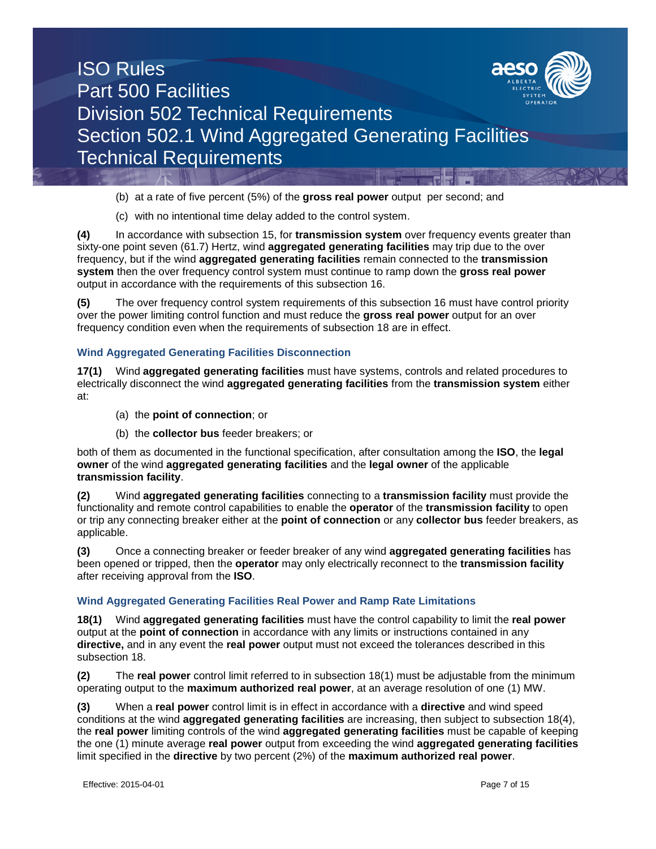

(b) at a rate of five percent (5%) of the **gross real power** output per second; and

(c) with no intentional time delay added to the control system.

**(4)** In accordance with subsection 15, for **transmission system** over frequency events greater than sixty-one point seven (61.7) Hertz, wind **aggregated generating facilities** may trip due to the over frequency, but if the wind **aggregated generating facilities** remain connected to the **transmission system** then the over frequency control system must continue to ramp down the **gross real power** output in accordance with the requirements of this subsection 16.

**(5)** The over frequency control system requirements of this subsection 16 must have control priority over the power limiting control function and must reduce the **gross real power** output for an over frequency condition even when the requirements of subsection 18 are in effect.

### **Wind Aggregated Generating Facilities Disconnection**

**17(1)** Wind **aggregated generating facilities** must have systems, controls and related procedures to electrically disconnect the wind **aggregated generating facilities** from the **transmission system** either at:

- (a) the **point of connection**; or
- (b) the **collector bus** feeder breakers; or

both of them as documented in the functional specification, after consultation among the **ISO**, the **legal owner** of the wind **aggregated generating facilities** and the **legal owner** of the applicable **transmission facility**.

**(2)** Wind **aggregated generating facilities** connecting to a **transmission facility** must provide the functionality and remote control capabilities to enable the **operator** of the **transmission facility** to open or trip any connecting breaker either at the **point of connection** or any **collector bus** feeder breakers, as applicable.

**(3)** Once a connecting breaker or feeder breaker of any wind **aggregated generating facilities** has been opened or tripped, then the **operator** may only electrically reconnect to the **transmission facility** after receiving approval from the **ISO**.

#### **Wind Aggregated Generating Facilities Real Power and Ramp Rate Limitations**

**18(1)** Wind **aggregated generating facilities** must have the control capability to limit the **real power** output at the **point of connection** in accordance with any limits or instructions contained in any **directive,** and in any event the **real power** output must not exceed the tolerances described in this subsection 18.

**(2)** The **real power** control limit referred to in subsection 18(1) must be adjustable from the minimum operating output to the **maximum authorized real power**, at an average resolution of one (1) MW.

**(3)** When a **real power** control limit is in effect in accordance with a **directive** and wind speed conditions at the wind **aggregated generating facilities** are increasing, then subject to subsection 18(4), the **real power** limiting controls of the wind **aggregated generating facilities** must be capable of keeping the one (1) minute average **real power** output from exceeding the wind **aggregated generating facilities** limit specified in the **directive** by two percent (2%) of the **maximum authorized real power**.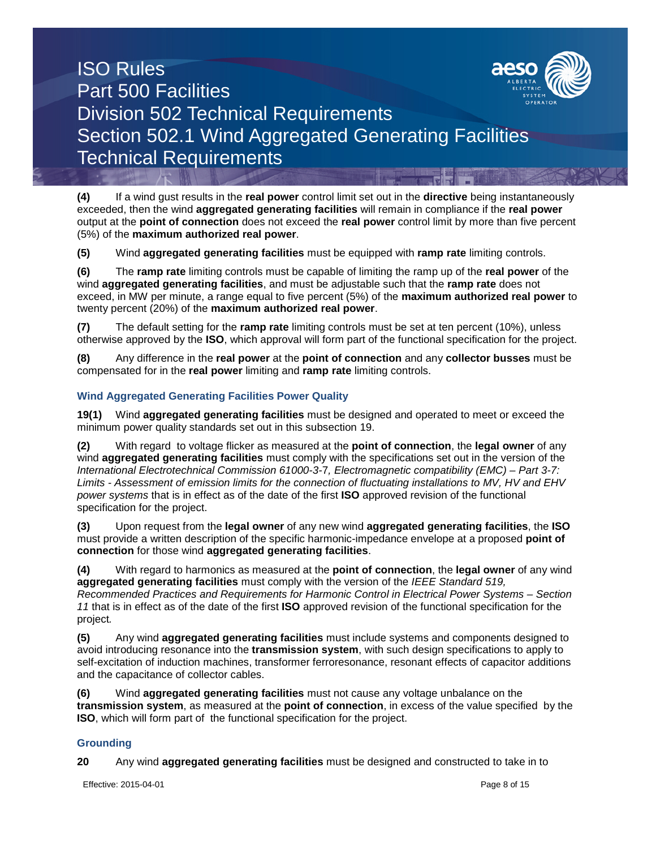

**(4)** If a wind gust results in the **real power** control limit set out in the **directive** being instantaneously exceeded, then the wind **aggregated generating facilities** will remain in compliance if the **real power** output at the **point of connection** does not exceed the **real power** control limit by more than five percent (5%) of the **maximum authorized real power**.

**(5)** Wind **aggregated generating facilities** must be equipped with **ramp rate** limiting controls.

**(6)** The **ramp rate** limiting controls must be capable of limiting the ramp up of the **real power** of the wind **aggregated generating facilities**, and must be adjustable such that the **ramp rate** does not exceed, in MW per minute, a range equal to five percent (5%) of the **maximum authorized real power** to twenty percent (20%) of the **maximum authorized real power**.

**(7)** The default setting for the **ramp rate** limiting controls must be set at ten percent (10%), unless otherwise approved by the **ISO**, which approval will form part of the functional specification for the project.

**(8)** Any difference in the **real power** at the **point of connection** and any **collector busses** must be compensated for in the **real power** limiting and **ramp rate** limiting controls.

### **Wind Aggregated Generating Facilities Power Quality**

**19(1)** Wind **aggregated generating facilities** must be designed and operated to meet or exceed the minimum power quality standards set out in this subsection 19.

**(2)** With regard to voltage flicker as measured at the **point of connection**, the **legal owner** of any wind **aggregated generating facilities** must comply with the specifications set out in the version of the *International Electrotechnical Commission 61000-3-*7*, Electromagnetic compatibility (EMC) – Part 3-7: Limits - Assessment of emission limits for the connection of fluctuating installations to MV, HV and EHV power systems* that is in effect as of the date of the first **ISO** approved revision of the functional specification for the project.

**(3)** Upon request from the **legal owner** of any new wind **aggregated generating facilities**, the **ISO** must provide a written description of the specific harmonic-impedance envelope at a proposed **point of connection** for those wind **aggregated generating facilities**.

**(4)** With regard to harmonics as measured at the **point of connection**, the **legal owner** of any wind **aggregated generating facilities** must comply with the version of the *IEEE Standard 519, Recommended Practices and Requirements for Harmonic Control in Electrical Power Systems – Section 11* that is in effect as of the date of the first **ISO** approved revision of the functional specification for the project*.*

**(5)** Any wind **aggregated generating facilities** must include systems and components designed to avoid introducing resonance into the **transmission system**, with such design specifications to apply to self-excitation of induction machines, transformer ferroresonance, resonant effects of capacitor additions and the capacitance of collector cables.

**(6)** Wind **aggregated generating facilities** must not cause any voltage unbalance on the **transmission system**, as measured at the **point of connection**, in excess of the value specified by the **ISO**, which will form part of the functional specification for the project.

### **Grounding**

**20** Any wind **aggregated generating facilities** must be designed and constructed to take in to

Effective: 2015-04-01 **Page 8 of 15**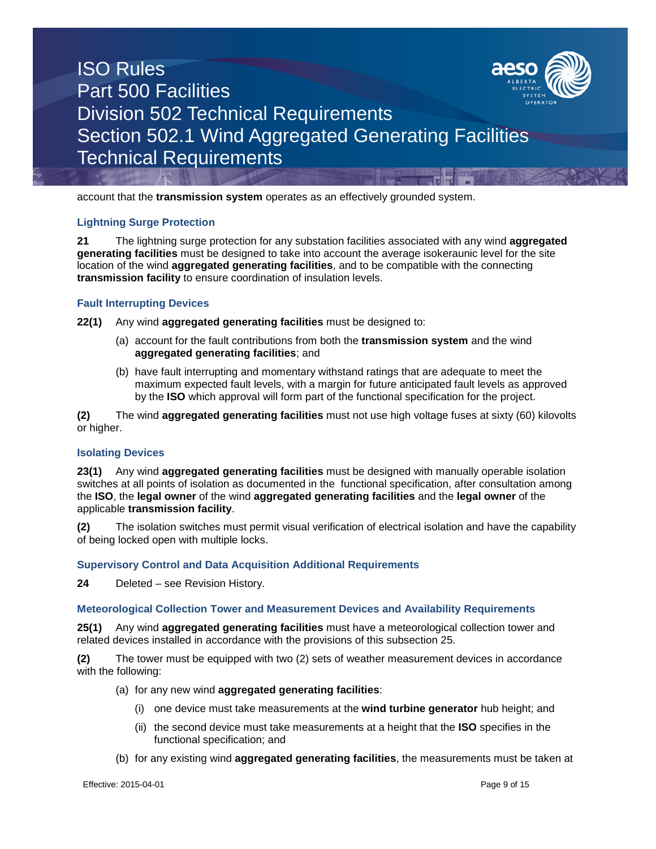

account that the **transmission system** operates as an effectively grounded system.

### **Lightning Surge Protection**

**21** The lightning surge protection for any substation facilities associated with any wind **aggregated generating facilities** must be designed to take into account the average isokeraunic level for the site location of the wind **aggregated generating facilities**, and to be compatible with the connecting **transmission facility** to ensure coordination of insulation levels.

### **Fault Interrupting Devices**

**22(1)** Any wind **aggregated generating facilities** must be designed to:

- (a) account for the fault contributions from both the **transmission system** and the wind **aggregated generating facilities**; and
- (b) have fault interrupting and momentary withstand ratings that are adequate to meet the maximum expected fault levels, with a margin for future anticipated fault levels as approved by the **ISO** which approval will form part of the functional specification for the project.

**(2)** The wind **aggregated generating facilities** must not use high voltage fuses at sixty (60) kilovolts or higher.

#### **Isolating Devices**

**23(1)** Any wind **aggregated generating facilities** must be designed with manually operable isolation switches at all points of isolation as documented in the functional specification, after consultation among the **ISO**, the **legal owner** of the wind **aggregated generating facilities** and the **legal owner** of the applicable **transmission facility**.

**(2)** The isolation switches must permit visual verification of electrical isolation and have the capability of being locked open with multiple locks.

#### **Supervisory Control and Data Acquisition Additional Requirements**

**24** Deleted – see Revision History.

#### **Meteorological Collection Tower and Measurement Devices and Availability Requirements**

**25(1)** Any wind **aggregated generating facilities** must have a meteorological collection tower and related devices installed in accordance with the provisions of this subsection 25.

**(2)** The tower must be equipped with two (2) sets of weather measurement devices in accordance with the following:

- (a) for any new wind **aggregated generating facilities**:
	- (i) one device must take measurements at the **wind turbine generator** hub height; and
	- (ii) the second device must take measurements at a height that the **ISO** specifies in the functional specification; and
- (b) for any existing wind **aggregated generating facilities**, the measurements must be taken at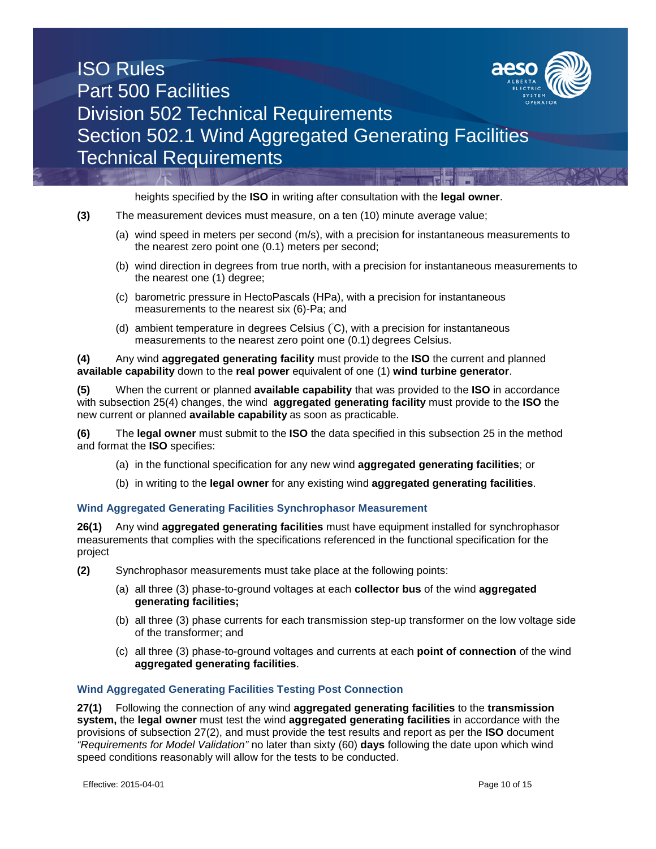

heights specified by the **ISO** in writing after consultation with the **legal owner**.

- **(3)** The measurement devices must measure, on a ten (10) minute average value;
	- (a) wind speed in meters per second (m/s), with a precision for instantaneous measurements to the nearest zero point one (0.1) meters per second;
	- (b) wind direction in degrees from true north, with a precision for instantaneous measurements to the nearest one (1) degree;
	- (c) barometric pressure in HectoPascals (HPa), with a precision for instantaneous measurements to the nearest six (6)-Pa; and
	- (d) ambient temperature in degrees Celsius ( C), with a precision for instantaneous measurements to the nearest zero point one (0.1) degrees Celsius.

**(4)** Any wind **aggregated generating facility** must provide to the **ISO** the current and planned **available capability** down to the **real power** equivalent of one (1) **wind turbine generator**.

**(5)** When the current or planned **available capability** that was provided to the **ISO** in accordance with subsection 25(4) changes, the wind **aggregated generating facility** must provide to the **ISO** the new current or planned **available capability** as soon as practicable.

**(6)** The **legal owner** must submit to the **ISO** the data specified in this subsection 25 in the method and format the **ISO** specifies:

- (a) in the functional specification for any new wind **aggregated generating facilities**; or
- (b) in writing to the **legal owner** for any existing wind **aggregated generating facilities**.

#### **Wind Aggregated Generating Facilities Synchrophasor Measurement**

**26(1)** Any wind **aggregated generating facilities** must have equipment installed for synchrophasor measurements that complies with the specifications referenced in the functional specification for the project

- **(2)** Synchrophasor measurements must take place at the following points:
	- (a) all three (3) phase-to-ground voltages at each **collector bus** of the wind **aggregated generating facilities;**
	- (b) all three (3) phase currents for each transmission step-up transformer on the low voltage side of the transformer; and
	- (c) all three (3) phase-to-ground voltages and currents at each **point of connection** of the wind **aggregated generating facilities**.

### **Wind Aggregated Generating Facilities Testing Post Connection**

**27(1)** Following the connection of any wind **aggregated generating facilities** to the **transmission system,** the **legal owner** must test the wind **aggregated generating facilities** in accordance with the provisions of subsection 27(2), and must provide the test results and report as per the **ISO** document *"Requirements for Model Validation"* no later than sixty (60) **days** following the date upon which wind speed conditions reasonably will allow for the tests to be conducted.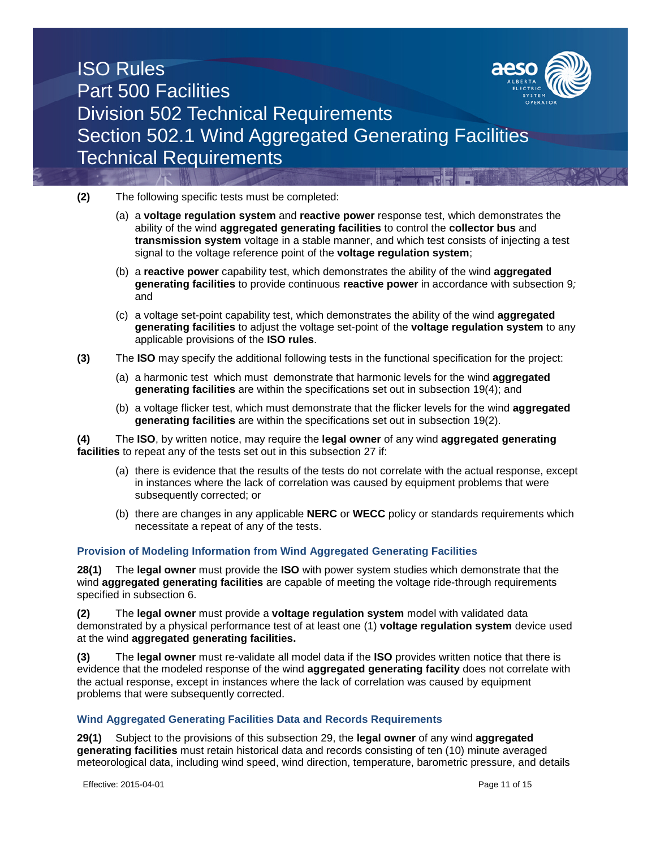

**(2)** The following specific tests must be completed:

- (a) a **voltage regulation system** and **reactive power** response test, which demonstrates the ability of the wind **aggregated generating facilities** to control the **collector bus** and **transmission system** voltage in a stable manner, and which test consists of injecting a test signal to the voltage reference point of the **voltage regulation system**;
- (b) a **reactive power** capability test, which demonstrates the ability of the wind **aggregated generating facilities** to provide continuous **reactive power** in accordance with subsection 9*;* and
- (c) a voltage set-point capability test, which demonstrates the ability of the wind **aggregated generating facilities** to adjust the voltage set-point of the **voltage regulation system** to any applicable provisions of the **ISO rules**.
- **(3)** The **ISO** may specify the additional following tests in the functional specification for the project:
	- (a) a harmonic test which must demonstrate that harmonic levels for the wind **aggregated generating facilities** are within the specifications set out in subsection 19(4); and
	- (b) a voltage flicker test, which must demonstrate that the flicker levels for the wind **aggregated generating facilities** are within the specifications set out in subsection 19(2).

**(4)** The **ISO**, by written notice, may require the **legal owner** of any wind **aggregated generating facilities** to repeat any of the tests set out in this subsection 27 if:

- (a) there is evidence that the results of the tests do not correlate with the actual response, except in instances where the lack of correlation was caused by equipment problems that were subsequently corrected; or
- (b) there are changes in any applicable **NERC** or **WECC** policy or standards requirements which necessitate a repeat of any of the tests.

### **Provision of Modeling Information from Wind Aggregated Generating Facilities**

**28(1)** The **legal owner** must provide the **ISO** with power system studies which demonstrate that the wind **aggregated generating facilities** are capable of meeting the voltage ride-through requirements specified in subsection 6.

**(2)** The **legal owner** must provide a **voltage regulation system** model with validated data demonstrated by a physical performance test of at least one (1) **voltage regulation system** device used at the wind **aggregated generating facilities.**

**(3)** The **legal owner** must re-validate all model data if the **ISO** provides written notice that there is evidence that the modeled response of the wind **aggregated generating facility** does not correlate with the actual response, except in instances where the lack of correlation was caused by equipment problems that were subsequently corrected.

### **Wind Aggregated Generating Facilities Data and Records Requirements**

**29(1)** Subject to the provisions of this subsection 29, the **legal owner** of any wind **aggregated generating facilities** must retain historical data and records consisting of ten (10) minute averaged meteorological data, including wind speed, wind direction, temperature, barometric pressure, and details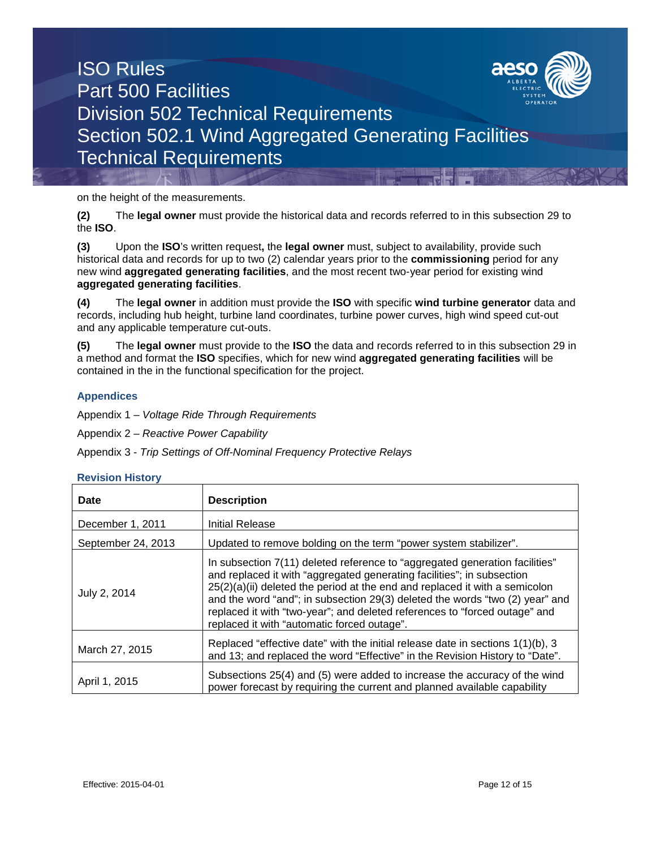

on the height of the measurements.

**(2)** The **legal owner** must provide the historical data and records referred to in this subsection 29 to the **ISO**.

**(3)** Upon the **ISO**'s written request**,** the **legal owner** must, subject to availability, provide such historical data and records for up to two (2) calendar years prior to the **commissioning** period for any new wind **aggregated generating facilities**, and the most recent two-year period for existing wind **aggregated generating facilities**.

**(4)** The **legal owner** in addition must provide the **ISO** with specific **wind turbine generator** data and records, including hub height, turbine land coordinates, turbine power curves, high wind speed cut-out and any applicable temperature cut-outs.

**(5)** The **legal owner** must provide to the **ISO** the data and records referred to in this subsection 29 in a method and format the **ISO** specifies, which for new wind **aggregated generating facilities** will be contained in the in the functional specification for the project.

### **Appendices**

Appendix 1 – *Voltage Ride Through Requirements*

Appendix 2 – *Reactive Power Capability*

Appendix 3 - *Trip Settings of Off-Nominal Frequency Protective Relays*

#### **Revision History**

| Date               | <b>Description</b>                                                                                                                                                                                                                                                                                                                                                                                                                                  |
|--------------------|-----------------------------------------------------------------------------------------------------------------------------------------------------------------------------------------------------------------------------------------------------------------------------------------------------------------------------------------------------------------------------------------------------------------------------------------------------|
| December 1, 2011   | <b>Initial Release</b>                                                                                                                                                                                                                                                                                                                                                                                                                              |
| September 24, 2013 | Updated to remove bolding on the term "power system stabilizer".                                                                                                                                                                                                                                                                                                                                                                                    |
| July 2, 2014       | In subsection 7(11) deleted reference to "aggregated generation facilities"<br>and replaced it with "aggregated generating facilities"; in subsection<br>$25(2)(a)(ii)$ deleted the period at the end and replaced it with a semicolon<br>and the word "and"; in subsection 29(3) deleted the words "two (2) year" and<br>replaced it with "two-year"; and deleted references to "forced outage" and<br>replaced it with "automatic forced outage". |
| March 27, 2015     | Replaced "effective date" with the initial release date in sections 1(1)(b), 3<br>and 13; and replaced the word "Effective" in the Revision History to "Date".                                                                                                                                                                                                                                                                                      |
| April 1, 2015      | Subsections 25(4) and (5) were added to increase the accuracy of the wind<br>power forecast by requiring the current and planned available capability                                                                                                                                                                                                                                                                                               |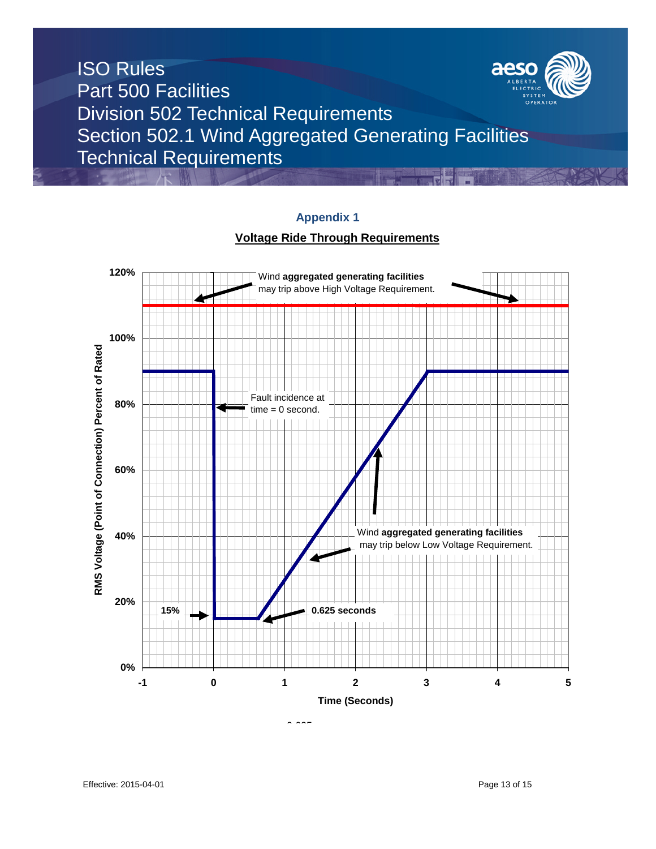

# **Appendix 1**

### **Voltage Ride Through Requirements**



 $0.000$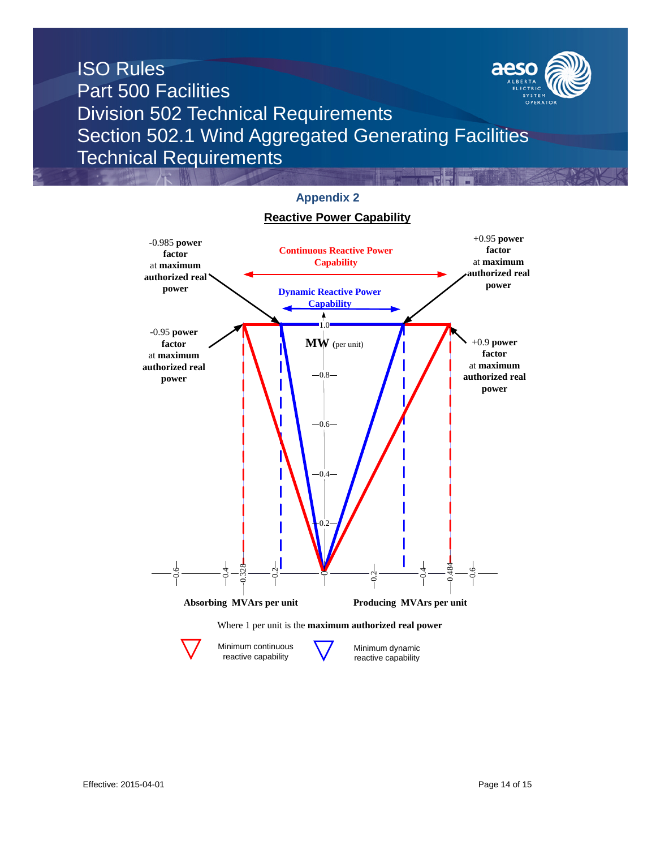



# **Appendix 2**